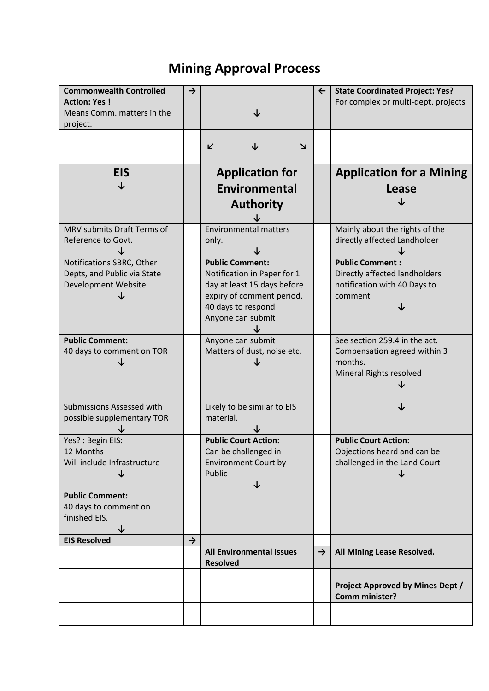### **Mining Approval Process**

| <b>Commonwealth Controlled</b><br><b>Action: Yes!</b><br>Means Comm. matters in the<br>project. | $\rightarrow$ |                                                                                                                                                              | $\leftarrow$  | <b>State Coordinated Project: Yes?</b><br>For complex or multi-dept. projects                       |
|-------------------------------------------------------------------------------------------------|---------------|--------------------------------------------------------------------------------------------------------------------------------------------------------------|---------------|-----------------------------------------------------------------------------------------------------|
|                                                                                                 |               | ↓<br>K<br>צ                                                                                                                                                  |               |                                                                                                     |
| <b>EIS</b>                                                                                      |               | <b>Application for</b><br>Environmental<br><b>Authority</b>                                                                                                  |               | <b>Application for a Mining</b><br><b>Lease</b>                                                     |
| MRV submits Draft Terms of<br>Reference to Govt.                                                |               | <b>Environmental matters</b><br>only.                                                                                                                        |               | Mainly about the rights of the<br>directly affected Landholder                                      |
| Notifications SBRC, Other<br>Depts, and Public via State<br>Development Website.                |               | <b>Public Comment:</b><br>Notification in Paper for 1<br>day at least 15 days before<br>expiry of comment period.<br>40 days to respond<br>Anyone can submit |               | <b>Public Comment:</b><br>Directly affected landholders<br>notification with 40 Days to<br>comment  |
| <b>Public Comment:</b><br>40 days to comment on TOR                                             |               | Anyone can submit<br>Matters of dust, noise etc.                                                                                                             |               | See section 259.4 in the act.<br>Compensation agreed within 3<br>months.<br>Mineral Rights resolved |
| Submissions Assessed with<br>possible supplementary TOR                                         |               | Likely to be similar to EIS<br>material.                                                                                                                     |               | T                                                                                                   |
| Yes? : Begin EIS:<br>12 Months<br>Will include Infrastructure<br>↓                              |               | <b>Public Court Action:</b><br>Can be challenged in<br><b>Environment Court by</b><br>Public<br>↓                                                            |               | <b>Public Court Action:</b><br>Objections heard and can be<br>challenged in the Land Court<br>↓     |
| <b>Public Comment:</b><br>40 days to comment on<br>finished EIS.<br>↓                           |               |                                                                                                                                                              |               |                                                                                                     |
| <b>EIS Resolved</b>                                                                             | $\rightarrow$ | <b>All Environmental Issues</b><br><b>Resolved</b>                                                                                                           | $\rightarrow$ | All Mining Lease Resolved.                                                                          |
|                                                                                                 |               |                                                                                                                                                              |               | <b>Project Approved by Mines Dept /</b><br>Comm minister?                                           |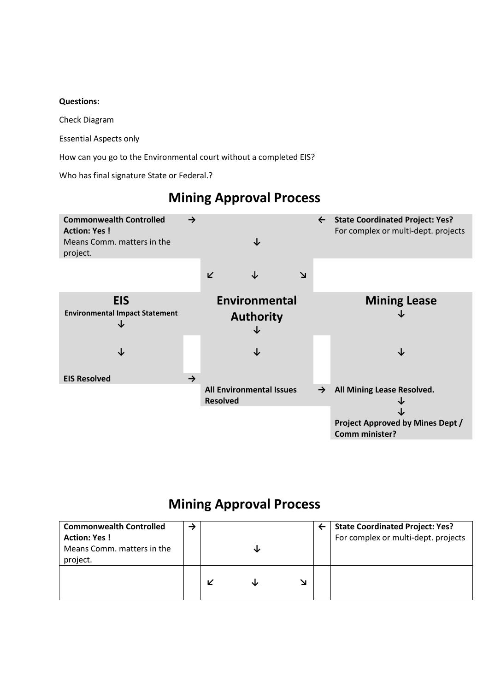#### **Questions:**

Check Diagram

Essential Aspects only

How can you go to the Environmental court without a completed EIS?

Who has final signature State or Federal.?

# **Mining Approval Process**



#### **Mining Approval Process**

| <b>Commonwealth Controlled</b> |  |  | <b>State Coordinated Project: Yes?</b> |
|--------------------------------|--|--|----------------------------------------|
| <b>Action: Yes!</b>            |  |  | For complex or multi-dept. projects    |
| Means Comm. matters in the     |  |  |                                        |
| project.                       |  |  |                                        |
|                                |  |  |                                        |
|                                |  |  |                                        |
|                                |  |  |                                        |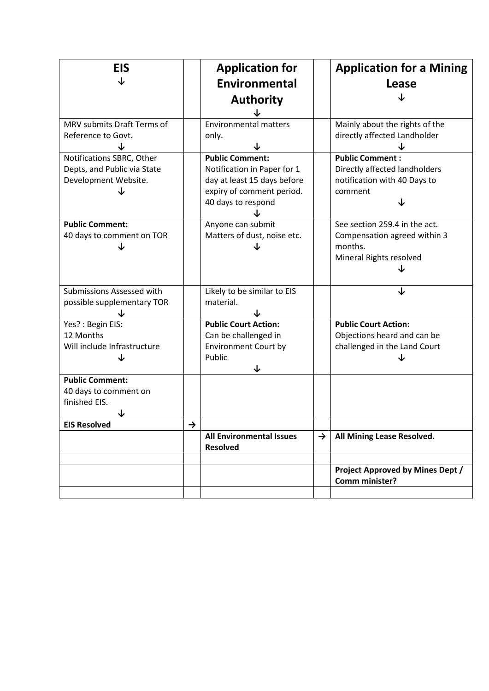| <b>EIS</b><br>↓                                                                                                                      |               | <b>Application for</b><br><b>Environmental</b><br><b>Authority</b>                                                                                                               |               | <b>Application for a Mining</b><br>Lease                                                                                                                             |
|--------------------------------------------------------------------------------------------------------------------------------------|---------------|----------------------------------------------------------------------------------------------------------------------------------------------------------------------------------|---------------|----------------------------------------------------------------------------------------------------------------------------------------------------------------------|
| MRV submits Draft Terms of<br>Reference to Govt.<br>Notifications SBRC, Other<br>Depts, and Public via State<br>Development Website. |               | <b>Environmental matters</b><br>only.<br><b>Public Comment:</b><br>Notification in Paper for 1<br>day at least 15 days before<br>expiry of comment period.<br>40 days to respond |               | Mainly about the rights of the<br>directly affected Landholder<br><b>Public Comment:</b><br>Directly affected landholders<br>notification with 40 Days to<br>comment |
| <b>Public Comment:</b><br>40 days to comment on TOR<br>↓                                                                             |               | Anyone can submit<br>Matters of dust, noise etc.                                                                                                                                 |               | See section 259.4 in the act.<br>Compensation agreed within 3<br>months.<br>Mineral Rights resolved                                                                  |
| Submissions Assessed with<br>possible supplementary TOR                                                                              |               | Likely to be similar to EIS<br>material.                                                                                                                                         |               | J                                                                                                                                                                    |
| Yes? : Begin EIS:<br>12 Months<br>Will include Infrastructure                                                                        |               | <b>Public Court Action:</b><br>Can be challenged in<br><b>Environment Court by</b><br>Public                                                                                     |               | <b>Public Court Action:</b><br>Objections heard and can be<br>challenged in the Land Court                                                                           |
| <b>Public Comment:</b><br>40 days to comment on<br>finished EIS.<br>↓                                                                |               |                                                                                                                                                                                  |               |                                                                                                                                                                      |
| <b>EIS Resolved</b>                                                                                                                  | $\rightarrow$ | <b>All Environmental Issues</b><br><b>Resolved</b>                                                                                                                               | $\rightarrow$ | All Mining Lease Resolved.                                                                                                                                           |
|                                                                                                                                      |               |                                                                                                                                                                                  |               | <b>Project Approved by Mines Dept /</b><br>Comm minister?                                                                                                            |